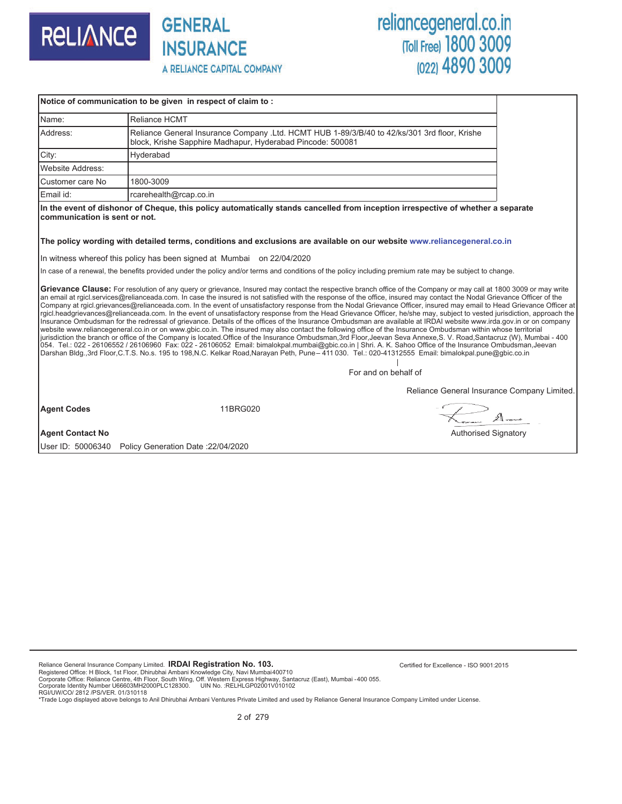

**INSURANCE** A RELIANCE CAPITAL COMPANY

**GENERAL** 

## reliancegeneral.co.in<br>
Toll Free) 1800 3009 (022) 4890 3009

|                               | Notice of communication to be given in respect of claim to:                                                                                                                                                                                                                                                                                                                                                                                                                                                                                                                                                                                                                                                                                                                                                                                                                                                                                                                                                                                                                                                                                                                                                                                                                                                                                                                                                                                                                                                                       |  |
|-------------------------------|-----------------------------------------------------------------------------------------------------------------------------------------------------------------------------------------------------------------------------------------------------------------------------------------------------------------------------------------------------------------------------------------------------------------------------------------------------------------------------------------------------------------------------------------------------------------------------------------------------------------------------------------------------------------------------------------------------------------------------------------------------------------------------------------------------------------------------------------------------------------------------------------------------------------------------------------------------------------------------------------------------------------------------------------------------------------------------------------------------------------------------------------------------------------------------------------------------------------------------------------------------------------------------------------------------------------------------------------------------------------------------------------------------------------------------------------------------------------------------------------------------------------------------------|--|
| Name:                         | Reliance HCMT                                                                                                                                                                                                                                                                                                                                                                                                                                                                                                                                                                                                                                                                                                                                                                                                                                                                                                                                                                                                                                                                                                                                                                                                                                                                                                                                                                                                                                                                                                                     |  |
| Address:                      | Reliance General Insurance Company .Ltd. HCMT HUB 1-89/3/B/40 to 42/ks/301 3rd floor, Krishe<br>block, Krishe Sapphire Madhapur, Hyderabad Pincode: 500081                                                                                                                                                                                                                                                                                                                                                                                                                                                                                                                                                                                                                                                                                                                                                                                                                                                                                                                                                                                                                                                                                                                                                                                                                                                                                                                                                                        |  |
| City:                         | Hyderabad                                                                                                                                                                                                                                                                                                                                                                                                                                                                                                                                                                                                                                                                                                                                                                                                                                                                                                                                                                                                                                                                                                                                                                                                                                                                                                                                                                                                                                                                                                                         |  |
| <b>Website Address:</b>       |                                                                                                                                                                                                                                                                                                                                                                                                                                                                                                                                                                                                                                                                                                                                                                                                                                                                                                                                                                                                                                                                                                                                                                                                                                                                                                                                                                                                                                                                                                                                   |  |
| Customer care No              | 1800-3009                                                                                                                                                                                                                                                                                                                                                                                                                                                                                                                                                                                                                                                                                                                                                                                                                                                                                                                                                                                                                                                                                                                                                                                                                                                                                                                                                                                                                                                                                                                         |  |
| Email id:                     | rcarehealth@rcap.co.in                                                                                                                                                                                                                                                                                                                                                                                                                                                                                                                                                                                                                                                                                                                                                                                                                                                                                                                                                                                                                                                                                                                                                                                                                                                                                                                                                                                                                                                                                                            |  |
| communication is sent or not. | In the event of dishonor of Cheque, this policy automatically stands cancelled from inception irrespective of whether a separate<br>The policy wording with detailed terms, conditions and exclusions are available on our website www.reliancegeneral.co.in                                                                                                                                                                                                                                                                                                                                                                                                                                                                                                                                                                                                                                                                                                                                                                                                                                                                                                                                                                                                                                                                                                                                                                                                                                                                      |  |
|                               | In witness whereof this policy has been signed at Mumbai on 22/04/2020                                                                                                                                                                                                                                                                                                                                                                                                                                                                                                                                                                                                                                                                                                                                                                                                                                                                                                                                                                                                                                                                                                                                                                                                                                                                                                                                                                                                                                                            |  |
|                               | In case of a renewal, the benefits provided under the policy and/or terms and conditions of the policy including premium rate may be subject to change.                                                                                                                                                                                                                                                                                                                                                                                                                                                                                                                                                                                                                                                                                                                                                                                                                                                                                                                                                                                                                                                                                                                                                                                                                                                                                                                                                                           |  |
|                               | Grievance Clause: For resolution of any query or grievance, Insured may contact the respective branch office of the Company or may call at 1800 3009 or may write<br>an email at rgicl.services@relianceada.com. In case the insured is not satisfied with the response of the office, insured may contact the Nodal Grievance Officer of the<br>Company at rgicl.grievances@relianceada.com. In the event of unsatisfactory response from the Nodal Grievance Officer, insured may email to Head Grievance Officer at<br>rgicl.headgrievances@relianceada.com. In the event of unsatisfactory response from the Head Grievance Officer, he/she may, subject to vested jurisdiction, approach the<br>Insurance Ombudsman for the redressal of grievance. Details of the offices of the Insurance Ombudsman are available at IRDAI website www.irda.gov.in or on company<br>website www.reliancegeneral.co.in or on www.gbic.co.in. The insured may also contact the following office of the Insurance Ombudsman within whose territorial<br>jurisdiction the branch or office of the Company is located.Office of the Insurance Ombudsman,3rd Floor, Jeevan Seva Annexe,S. V. Road,Santacruz (W), Mumbai - 400<br>054. Tel.: 022 - 26106552 / 26106960 Fax: 022 - 26106052 Email: bimalokpal.mumbai@gbic.co.in   Shri. A. K. Sahoo Office of the Insurance Ombudsman, Jeevan<br>Darshan Bldg.,3rd Floor,C.T.S. No.s. 195 to 198,N.C. Kelkar Road,Narayan Peth, Pune-411 030. Tel.: 020-41312555 Email: bimalokpal.pune@gbic.co.in |  |

For and on behalf of

Reliance General Insurance Company Limited.

Agent Codes **11BRG020** 

 $A_{\infty}$ 

**Agent Contact No** Authorised Signatory **Authorised Signatory Authorised Signatory Authorised Signatory** 

User ID: 50006340 Policy Generation Date :22/04/2020

Reliance General Insurance Company Limited. **IRDAI Registration No. 103.**

Registered Office: H Block, 1st Floor, Dhirubhai Ambani Knowledge City, Navi Mumbai400710<br>Corporate Office: Reliance Centre, 4th Floor, South Wing, Off. Western Express Highway, Santacruz (East), Mumbai -400 055.<br>Corporate

RGI/UW/CO/ 2812 /PS/VER. 01/310118<br>\*Trade Logo displayed above belongs to Anil Dhirubhai Ambani Ventures Private Limited and used by Reliance General Insurance Company Limited under License.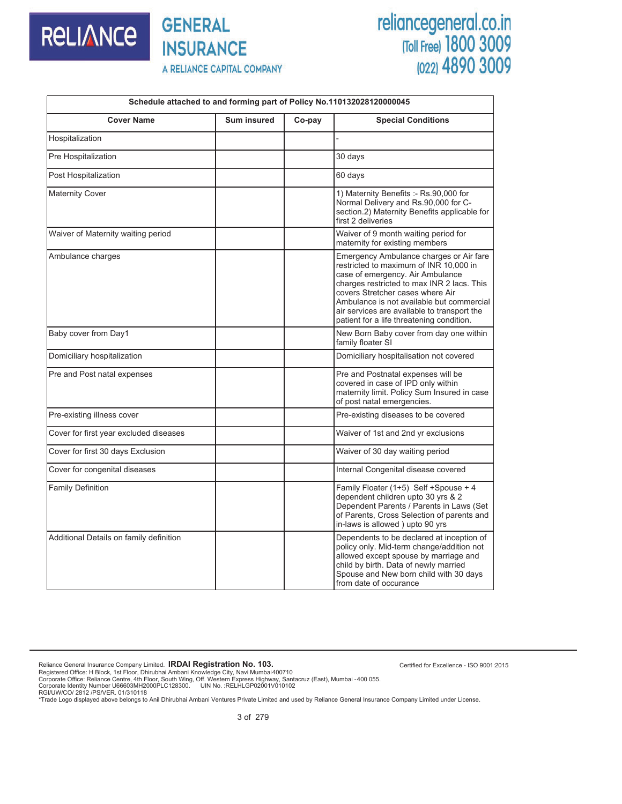

### **GENERAL INSURANCE** A RELIANCE CAPITAL COMPANY

# reliancegeneral.co.in<br>
Toll Free) 1800 3009<br>
(022) 4890 3009

| Schedule attached to and forming part of Policy No.110132028120000045 |                    |        |                                                                                                                                                                                                                                                                                                                                                  |  |  |  |  |
|-----------------------------------------------------------------------|--------------------|--------|--------------------------------------------------------------------------------------------------------------------------------------------------------------------------------------------------------------------------------------------------------------------------------------------------------------------------------------------------|--|--|--|--|
| <b>Cover Name</b>                                                     | <b>Sum insured</b> | Co-pay | <b>Special Conditions</b>                                                                                                                                                                                                                                                                                                                        |  |  |  |  |
| Hospitalization                                                       |                    |        |                                                                                                                                                                                                                                                                                                                                                  |  |  |  |  |
| Pre Hospitalization                                                   |                    |        | 30 days                                                                                                                                                                                                                                                                                                                                          |  |  |  |  |
| Post Hospitalization                                                  |                    |        | 60 days                                                                                                                                                                                                                                                                                                                                          |  |  |  |  |
| <b>Maternity Cover</b>                                                |                    |        | 1) Maternity Benefits :- Rs.90,000 for<br>Normal Delivery and Rs.90,000 for C-<br>section.2) Maternity Benefits applicable for<br>first 2 deliveries                                                                                                                                                                                             |  |  |  |  |
| Waiver of Maternity waiting period                                    |                    |        | Waiver of 9 month waiting period for<br>maternity for existing members                                                                                                                                                                                                                                                                           |  |  |  |  |
| Ambulance charges                                                     |                    |        | Emergency Ambulance charges or Air fare<br>restricted to maximum of INR 10,000 in<br>case of emergency. Air Ambulance<br>charges restricted to max INR 2 lacs. This<br>covers Stretcher cases where Air<br>Ambulance is not available but commercial<br>air services are available to transport the<br>patient for a life threatening condition. |  |  |  |  |
| Baby cover from Day1                                                  |                    |        | New Born Baby cover from day one within<br>family floater SI                                                                                                                                                                                                                                                                                     |  |  |  |  |
| Domiciliary hospitalization                                           |                    |        | Domiciliary hospitalisation not covered                                                                                                                                                                                                                                                                                                          |  |  |  |  |
| Pre and Post natal expenses                                           |                    |        | Pre and Postnatal expenses will be<br>covered in case of IPD only within<br>maternity limit. Policy Sum Insured in case<br>of post natal emergencies.                                                                                                                                                                                            |  |  |  |  |
| Pre-existing illness cover                                            |                    |        | Pre-existing diseases to be covered                                                                                                                                                                                                                                                                                                              |  |  |  |  |
| Cover for first year excluded diseases                                |                    |        | Waiver of 1st and 2nd yr exclusions                                                                                                                                                                                                                                                                                                              |  |  |  |  |
| Cover for first 30 days Exclusion                                     |                    |        | Waiver of 30 day waiting period                                                                                                                                                                                                                                                                                                                  |  |  |  |  |
| Cover for congenital diseases                                         |                    |        | Internal Congenital disease covered                                                                                                                                                                                                                                                                                                              |  |  |  |  |
| <b>Family Definition</b>                                              |                    |        | Family Floater (1+5) Self +Spouse + 4<br>dependent children upto 30 yrs & 2<br>Dependent Parents / Parents in Laws (Set<br>of Parents, Cross Selection of parents and<br>in-laws is allowed) upto 90 yrs                                                                                                                                         |  |  |  |  |
| Additional Details on family definition                               |                    |        | Dependents to be declared at inception of<br>policy only. Mid-term change/addition not<br>allowed except spouse by marriage and<br>child by birth. Data of newly married<br>Spouse and New born child with 30 days<br>from date of occurance                                                                                                     |  |  |  |  |

Reliance General Insurance Company Limited. **IRDAI Registration No. 103.**

Registered Office: H Block, 1st Floor, Dhirubhai Ambani Knowledge City, Navi Mumbai400710<br>Corporate Office: Reliance Centre, 4th Floor, South Wing, Off. Western Express Highway, Santacruz (East), Mumbai -400 055.<br>Corporate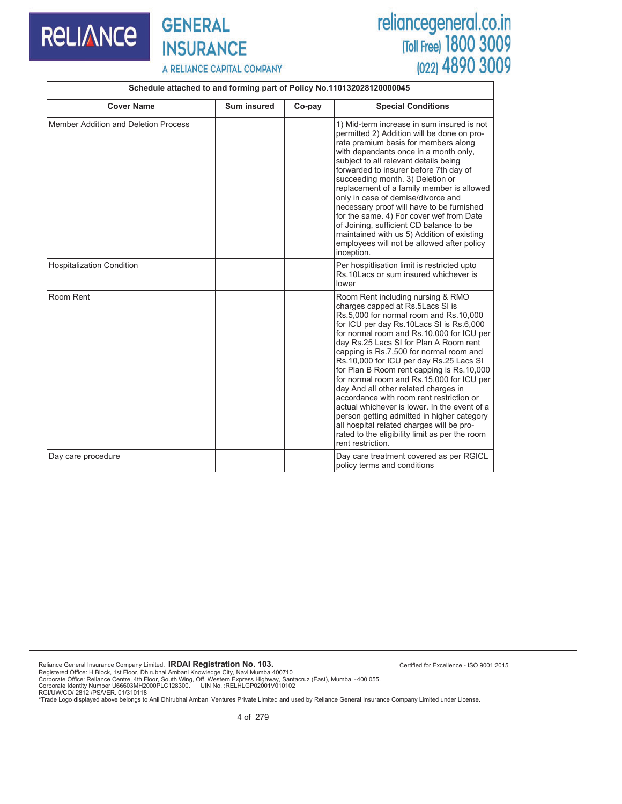#### **GENERAL RELIANCE INSURANCE**

# reliancegeneral.co.in<br>
Toll Free) 1800 3009<br>
(022) 4890 3009

Certified for Excellence - ISO 9001:2015

A RELIANCE CAPITAL COMPANY

#### **Schedule attached to and forming part of Policy No.110132028120000045**

| <b>Cover Name</b>                    | Sum insured | Co-pay | <b>Special Conditions</b>                                                                                                                                                                                                                                                                                                                                                                                                                                                                                                                                                                                                                                                                                                                |  |
|--------------------------------------|-------------|--------|------------------------------------------------------------------------------------------------------------------------------------------------------------------------------------------------------------------------------------------------------------------------------------------------------------------------------------------------------------------------------------------------------------------------------------------------------------------------------------------------------------------------------------------------------------------------------------------------------------------------------------------------------------------------------------------------------------------------------------------|--|
| Member Addition and Deletion Process |             |        | 1) Mid-term increase in sum insured is not<br>permitted 2) Addition will be done on pro-<br>rata premium basis for members along<br>with dependants once in a month only,<br>subject to all relevant details being<br>forwarded to insurer before 7th day of<br>succeeding month. 3) Deletion or<br>replacement of a family member is allowed<br>only in case of demise/divorce and<br>necessary proof will have to be furnished<br>for the same. 4) For cover wef from Date<br>of Joining, sufficient CD balance to be<br>maintained with us 5) Addition of existing<br>employees will not be allowed after policy<br>inception.                                                                                                        |  |
| <b>Hospitalization Condition</b>     |             |        | Per hospitlisation limit is restricted upto<br>Rs.10 Lacs or sum insured whichever is<br>lower                                                                                                                                                                                                                                                                                                                                                                                                                                                                                                                                                                                                                                           |  |
| Room Rent                            |             |        | Room Rent including nursing & RMO<br>charges capped at Rs.5Lacs SI is<br>Rs.5,000 for normal room and Rs.10,000<br>for ICU per day Rs.10Lacs SI is Rs.6,000<br>for normal room and Rs.10,000 for ICU per<br>day Rs.25 Lacs SI for Plan A Room rent<br>capping is Rs.7,500 for normal room and<br>Rs.10,000 for ICU per day Rs.25 Lacs SI<br>for Plan B Room rent capping is Rs.10,000<br>for normal room and Rs.15,000 for ICU per<br>day And all other related charges in<br>accordance with room rent restriction or<br>actual whichever is lower. In the event of a<br>person getting admitted in higher category<br>all hospital related charges will be pro-<br>rated to the eligibility limit as per the room<br>rent restriction. |  |
| Day care procedure                   |             |        | Day care treatment covered as per RGICL<br>policy terms and conditions                                                                                                                                                                                                                                                                                                                                                                                                                                                                                                                                                                                                                                                                   |  |

Reliance General Insurance Company Limited. **IRDAI Registration No. 103.**

Registered Office: H Block, 1st Floor, Dhirubhai Ambani Knowledge City, Navi Mumbai400710<br>Corporate Office: Reliance Centre, 4th Floor, South Wing, Off. Western Express Highway, Santacruz (East), Mumbai -400 055.<br>Corporate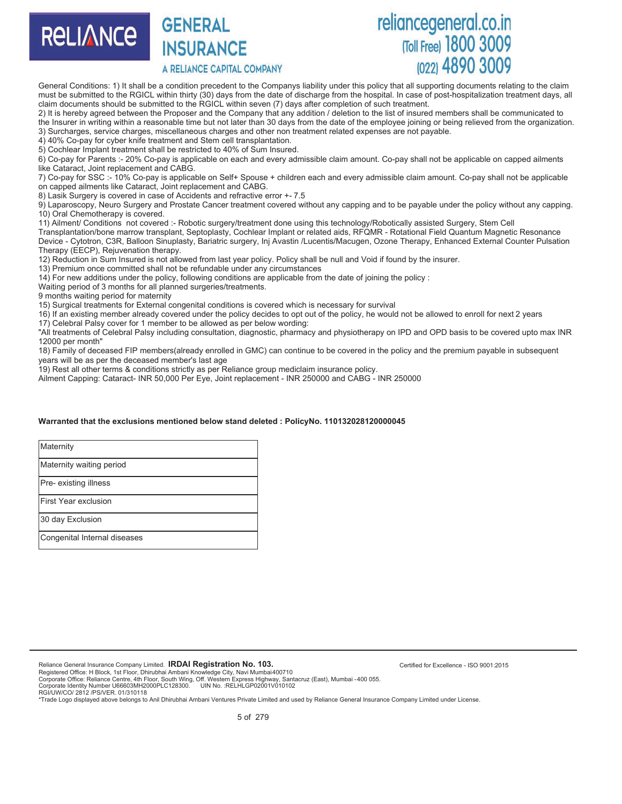

### **GENERAL INSURANCE**

A RELIANCE CAPITAL COMPANY

## reliancegeneral.co.in (Toll Free) 1800 3009

General Conditions: 1) It shall be a condition precedent to the Companys liability under this policy that all supporting documents relating to the claim must be submitted to the RGICL within thirty (30) days from the date of discharge from the hospital. In case of post-hospitalization treatment days, all claim documents should be submitted to the RGICL within seven (7) days after completion of such treatment.

2) It is hereby agreed between the Proposer and the Company that any addition / deletion to the list of insured members shall be communicated to the Insurer in writing within a reasonable time but not later than 30 days from the date of the employee joining or being relieved from the organization. 3) Surcharges, service charges, miscellaneous charges and other non treatment related expenses are not payable.

4) 40% Co-pay for cyber knife treatment and Stem cell transplantation.

5) Cochlear Implant treatment shall be restricted to 40% of Sum Insured.

6) Co-pay for Parents :- 20% Co-pay is applicable on each and every admissible claim amount. Co-pay shall not be applicable on capped ailments like Cataract, Joint replacement and CABG.

7) Co-pay for SSC :- 10% Co-pay is applicable on Self+ Spouse + children each and every admissible claim amount. Co-pay shall not be applicable on capped ailments like Cataract, Joint replacement and CABG.

8) Lasik Surgery is covered in case of Accidents and refractive error +- 7.5

9) Laparoscopy, Neuro Surgery and Prostate Cancer treatment covered without any capping and to be payable under the policy without any capping. 10) Oral Chemotherapy is covered.

11) Ailment/ Conditions not covered :- Robotic surgery/treatment done using this technology/Robotically assisted Surgery, Stem Cell

Transplantation/bone marrow transplant, Septoplasty, Cochlear Implant or related aids, RFQMR - Rotational Field Quantum Magnetic Resonance Device - Cytotron, C3R, Balloon Sinuplasty, Bariatric surgery, Inj Avastin /Lucentis/Macugen, Ozone Therapy, Enhanced External Counter Pulsation Therapy (EECP), Rejuvenation therapy.

12) Reduction in Sum Insured is not allowed from last year policy. Policy shall be null and Void if found by the insurer.

13) Premium once committed shall not be refundable under any circumstances

14) For new additions under the policy, following conditions are applicable from the date of joining the policy :

Waiting period of 3 months for all planned surgeries/treatments.

9 months waiting period for maternity

15) Surgical treatments for External congenital conditions is covered which is necessary for survival

16) If an existing member already covered under the policy decides to opt out of the policy, he would not be allowed to enroll for next 2 years

17) Celebral Palsy cover for 1 member to be allowed as per below wording:

"All treatments of Celebral Palsy including consultation, diagnostic, pharmacy and physiotherapy on IPD and OPD basis to be covered upto max INR 12000 per month"

18) Family of deceased FIP members(already enrolled in GMC) can continue to be covered in the policy and the premium payable in subsequent years will be as per the deceased member's last age

19) Rest all other terms & conditions strictly as per Reliance group mediclaim insurance policy.

Ailment Capping: Cataract- INR 50,000 Per Eye, Joint replacement - INR 250000 and CABG - INR 250000

#### **Warranted that the exclusions mentioned below stand deleted : PolicyNo. 110132028120000045**

**Maternity** Maternity waiting period Pre- existing illness First Year exclusion 30 day Exclusion Congenital Internal diseases

Reliance General Insurance Company Limited. **IRDAI Registration No. 103.**

Registered Office: H Block, 1st Floor, Dhirubhai Ambani Knowledge City, Navi Mumbai400710<br>Corporate Office: Reliance Centre, 4th Floor, South Wing, Off. Western Express Highway, Santacruz (East), Mumbai -400 055.<br>Corporate

RGI/UW/CO/ 2812 /PS/VER. 01/310118

\*Trade Logo displayed above belongs to Anil Dhirubhai Ambani Ventures Private Limited and used by Reliance General Insurance Company Limited under License.